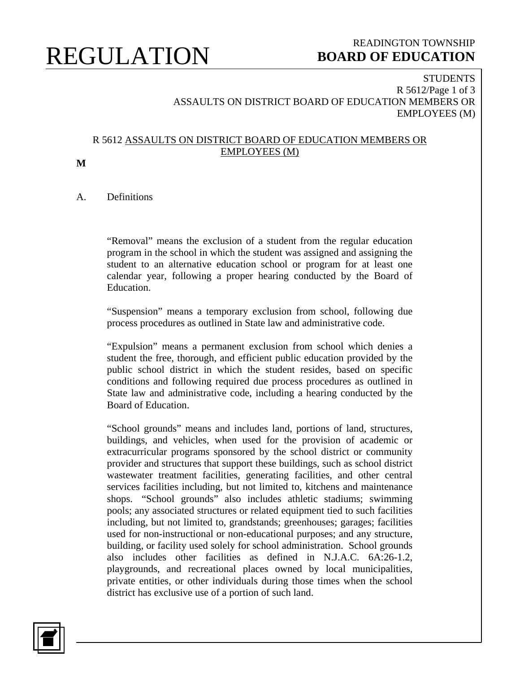## REGULATION

### READINGTON TOWNSHIP  **BOARD OF EDUCATION**

#### **STUDENTS** R 5612/Page 1 of 3 ASSAULTS ON DISTRICT BOARD OF EDUCATION MEMBERS OR EMPLOYEES (M)

#### R 5612 ASSAULTS ON DISTRICT BOARD OF EDUCATION MEMBERS OR EMPLOYEES (M)

**M**

A. Definitions

"Removal" means the exclusion of a student from the regular education program in the school in which the student was assigned and assigning the student to an alternative education school or program for at least one calendar year, following a proper hearing conducted by the Board of Education.

"Suspension" means a temporary exclusion from school, following due process procedures as outlined in State law and administrative code.

"Expulsion" means a permanent exclusion from school which denies a student the free, thorough, and efficient public education provided by the public school district in which the student resides, based on specific conditions and following required due process procedures as outlined in State law and administrative code, including a hearing conducted by the Board of Education.

"School grounds" means and includes land, portions of land, structures, buildings, and vehicles, when used for the provision of academic or extracurricular programs sponsored by the school district or community provider and structures that support these buildings, such as school district wastewater treatment facilities, generating facilities, and other central services facilities including, but not limited to, kitchens and maintenance shops. "School grounds" also includes athletic stadiums; swimming pools; any associated structures or related equipment tied to such facilities including, but not limited to, grandstands; greenhouses; garages; facilities used for non-instructional or non-educational purposes; and any structure, building, or facility used solely for school administration. School grounds also includes other facilities as defined in N.J.A.C. 6A:26-1.2, playgrounds, and recreational places owned by local municipalities, private entities, or other individuals during those times when the school district has exclusive use of a portion of such land.

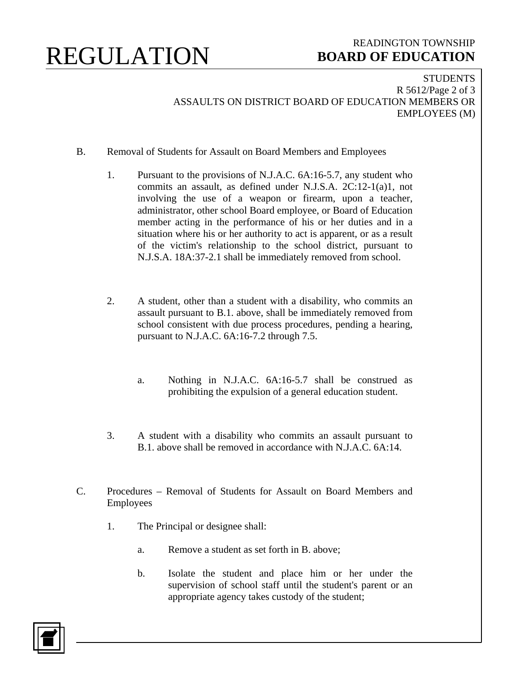## REGULATION

### READINGTON TOWNSHIP  **BOARD OF EDUCATION**

**STUDENTS** R 5612/Page 2 of 3 ASSAULTS ON DISTRICT BOARD OF EDUCATION MEMBERS OR EMPLOYEES (M)

- B. Removal of Students for Assault on Board Members and Employees
	- 1. Pursuant to the provisions of N.J.A.C. 6A:16-5.7, any student who commits an assault, as defined under N.J.S.A. 2C:12-1(a)1, not involving the use of a weapon or firearm, upon a teacher, administrator, other school Board employee, or Board of Education member acting in the performance of his or her duties and in a situation where his or her authority to act is apparent, or as a result of the victim's relationship to the school district, pursuant to N.J.S.A. 18A:37-2.1 shall be immediately removed from school.
	- 2. A student, other than a student with a disability, who commits an assault pursuant to B.1. above, shall be immediately removed from school consistent with due process procedures, pending a hearing, pursuant to N.J.A.C. 6A:16-7.2 through 7.5.
		- a. Nothing in N.J.A.C. 6A:16-5.7 shall be construed as prohibiting the expulsion of a general education student.
	- 3. A student with a disability who commits an assault pursuant to B.1. above shall be removed in accordance with N.J.A.C. 6A:14.
- C. Procedures Removal of Students for Assault on Board Members and Employees
	- 1. The Principal or designee shall:
		- a. Remove a student as set forth in B. above;
		- b. Isolate the student and place him or her under the supervision of school staff until the student's parent or an appropriate agency takes custody of the student;